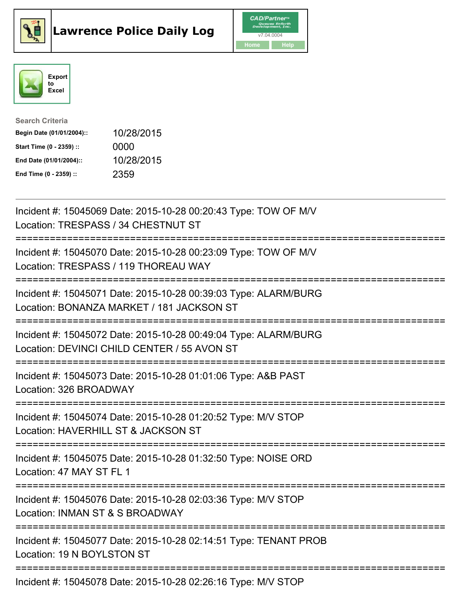





| <b>Search Criteria</b>    |            |
|---------------------------|------------|
| Begin Date (01/01/2004):: | 10/28/2015 |
| Start Time (0 - 2359) ::  | 0000       |
| End Date (01/01/2004)::   | 10/28/2015 |
| End Time (0 - 2359) ::    | 2359       |

| Incident #: 15045069 Date: 2015-10-28 00:20:43 Type: TOW OF M/V<br>Location: TRESPASS / 34 CHESTNUT ST                                                               |
|----------------------------------------------------------------------------------------------------------------------------------------------------------------------|
| Incident #: 15045070 Date: 2015-10-28 00:23:09 Type: TOW OF M/V<br>Location: TRESPASS / 119 THOREAU WAY                                                              |
| Incident #: 15045071 Date: 2015-10-28 00:39:03 Type: ALARM/BURG<br>Location: BONANZA MARKET / 181 JACKSON ST                                                         |
| Incident #: 15045072 Date: 2015-10-28 00:49:04 Type: ALARM/BURG<br>Location: DEVINCI CHILD CENTER / 55 AVON ST<br>:=========================                         |
| Incident #: 15045073 Date: 2015-10-28 01:01:06 Type: A&B PAST<br>Location: 326 BROADWAY<br>:===================================                                      |
| Incident #: 15045074 Date: 2015-10-28 01:20:52 Type: M/V STOP<br>Location: HAVERHILL ST & JACKSON ST<br>=======================                                      |
| Incident #: 15045075 Date: 2015-10-28 01:32:50 Type: NOISE ORD<br>Location: 47 MAY ST FL 1                                                                           |
| Incident #: 15045076 Date: 2015-10-28 02:03:36 Type: M/V STOP<br>Location: INMAN ST & S BROADWAY<br>:===========================<br>-------------------------------- |
| Incident #: 15045077 Date: 2015-10-28 02:14:51 Type: TENANT PROB<br>Location: 19 N BOYLSTON ST                                                                       |
| Incident #: 15045078 Date: 2015-10-28 02:26:16 Type: M/V STOP                                                                                                        |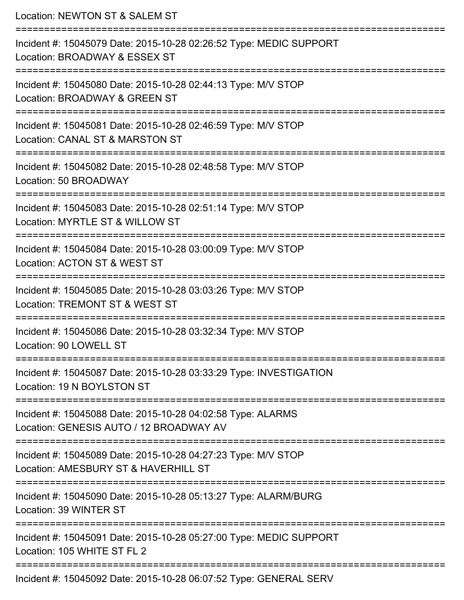Location: NEWTON ST & SALEM ST =========================================================================== Incident #: 15045079 Date: 2015-10-28 02:26:52 Type: MEDIC SUPPORT Location: BROADWAY & ESSEX ST =========================================================================== Incident #: 15045080 Date: 2015-10-28 02:44:13 Type: M/V STOP Location: BROADWAY & GREEN ST =========================================================================== Incident #: 15045081 Date: 2015-10-28 02:46:59 Type: M/V STOP Location: CANAL ST & MARSTON ST =========================================================================== Incident #: 15045082 Date: 2015-10-28 02:48:58 Type: M/V STOP Location: 50 BROADWAY =========================================================================== Incident #: 15045083 Date: 2015-10-28 02:51:14 Type: M/V STOP Location: MYRTLE ST & WILLOW ST =========================================================================== Incident #: 15045084 Date: 2015-10-28 03:00:09 Type: M/V STOP Location: ACTON ST & WEST ST =========================================================================== Incident #: 15045085 Date: 2015-10-28 03:03:26 Type: M/V STOP Location: TREMONT ST & WEST ST =========================================================================== Incident #: 15045086 Date: 2015-10-28 03:32:34 Type: M/V STOP Location: 90 LOWELL ST =========================================================================== Incident #: 15045087 Date: 2015-10-28 03:33:29 Type: INVESTIGATION Location: 19 N BOYLSTON ST =========================================================================== Incident #: 15045088 Date: 2015-10-28 04:02:58 Type: ALARMS Location: GENESIS AUTO / 12 BROADWAY AV =========================================================================== Incident #: 15045089 Date: 2015-10-28 04:27:23 Type: M/V STOP Location: AMESBURY ST & HAVERHILL ST =========================================================================== Incident #: 15045090 Date: 2015-10-28 05:13:27 Type: ALARM/BURG Location: 39 WINTER ST =========================================================================== Incident #: 15045091 Date: 2015-10-28 05:27:00 Type: MEDIC SUPPORT Location: 105 WHITE ST FL 2 =========================================================================== Incident #: 15045092 Date: 2015-10-28 06:07:52 Type: GENERAL SERV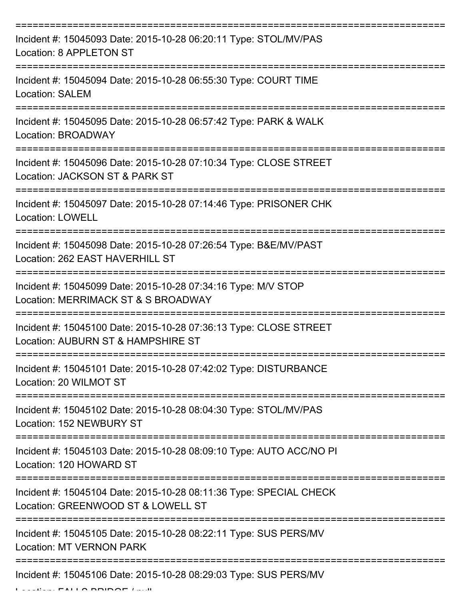| Incident #: 15045093 Date: 2015-10-28 06:20:11 Type: STOL/MV/PAS<br>Location: 8 APPLETON ST              |
|----------------------------------------------------------------------------------------------------------|
| Incident #: 15045094 Date: 2015-10-28 06:55:30 Type: COURT TIME<br><b>Location: SALEM</b>                |
| Incident #: 15045095 Date: 2015-10-28 06:57:42 Type: PARK & WALK<br>Location: BROADWAY                   |
| Incident #: 15045096 Date: 2015-10-28 07:10:34 Type: CLOSE STREET<br>Location: JACKSON ST & PARK ST      |
| Incident #: 15045097 Date: 2015-10-28 07:14:46 Type: PRISONER CHK<br><b>Location: LOWELL</b>             |
| Incident #: 15045098 Date: 2015-10-28 07:26:54 Type: B&E/MV/PAST<br>Location: 262 EAST HAVERHILL ST      |
| Incident #: 15045099 Date: 2015-10-28 07:34:16 Type: M/V STOP<br>Location: MERRIMACK ST & S BROADWAY     |
| Incident #: 15045100 Date: 2015-10-28 07:36:13 Type: CLOSE STREET<br>Location: AUBURN ST & HAMPSHIRE ST  |
| Incident #: 15045101 Date: 2015-10-28 07:42:02 Type: DISTURBANCE<br>Location: 20 WILMOT ST               |
| Incident #: 15045102 Date: 2015-10-28 08:04:30 Type: STOL/MV/PAS<br>Location: 152 NEWBURY ST             |
| Incident #: 15045103 Date: 2015-10-28 08:09:10 Type: AUTO ACC/NO PI<br>Location: 120 HOWARD ST           |
| Incident #: 15045104 Date: 2015-10-28 08:11:36 Type: SPECIAL CHECK<br>Location: GREENWOOD ST & LOWELL ST |
| Incident #: 15045105 Date: 2015-10-28 08:22:11 Type: SUS PERS/MV<br><b>Location: MT VERNON PARK</b>      |
| Incident #: 15045106 Date: 2015-10-28 08:29:03 Type: SUS PERS/MV                                         |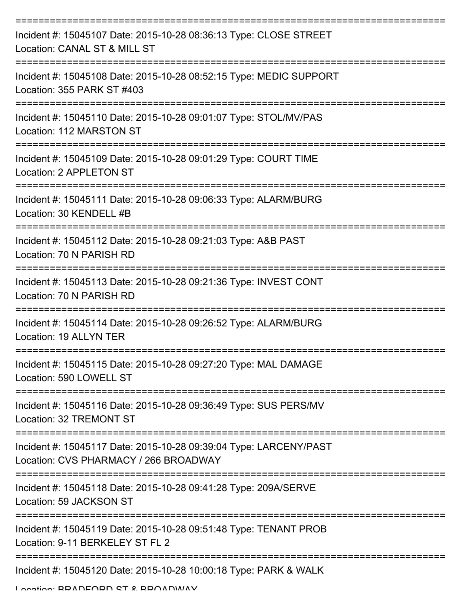| Incident #: 15045107 Date: 2015-10-28 08:36:13 Type: CLOSE STREET<br>Location: CANAL ST & MILL ST          |
|------------------------------------------------------------------------------------------------------------|
| Incident #: 15045108 Date: 2015-10-28 08:52:15 Type: MEDIC SUPPORT<br>Location: 355 PARK ST #403           |
| Incident #: 15045110 Date: 2015-10-28 09:01:07 Type: STOL/MV/PAS<br>Location: 112 MARSTON ST               |
| Incident #: 15045109 Date: 2015-10-28 09:01:29 Type: COURT TIME<br>Location: 2 APPLETON ST                 |
| Incident #: 15045111 Date: 2015-10-28 09:06:33 Type: ALARM/BURG<br>Location: 30 KENDELL #B                 |
| Incident #: 15045112 Date: 2015-10-28 09:21:03 Type: A&B PAST<br>Location: 70 N PARISH RD                  |
| Incident #: 15045113 Date: 2015-10-28 09:21:36 Type: INVEST CONT<br>Location: 70 N PARISH RD               |
| Incident #: 15045114 Date: 2015-10-28 09:26:52 Type: ALARM/BURG<br>Location: 19 ALLYN TER                  |
| Incident #: 15045115 Date: 2015-10-28 09:27:20 Type: MAL DAMAGE<br>Location: 590 LOWELL ST                 |
| Incident #: 15045116 Date: 2015-10-28 09:36:49 Type: SUS PERS/MV<br>Location: 32 TREMONT ST                |
| Incident #: 15045117 Date: 2015-10-28 09:39:04 Type: LARCENY/PAST<br>Location: CVS PHARMACY / 266 BROADWAY |
| Incident #: 15045118 Date: 2015-10-28 09:41:28 Type: 209A/SERVE<br>Location: 59 JACKSON ST                 |
| Incident #: 15045119 Date: 2015-10-28 09:51:48 Type: TENANT PROB<br>Location: 9-11 BERKELEY ST FL 2        |
| Incident #: 15045120 Date: 2015-10-28 10:00:18 Type: PARK & WALK                                           |

Location: BRADFORD ST & BROADWAY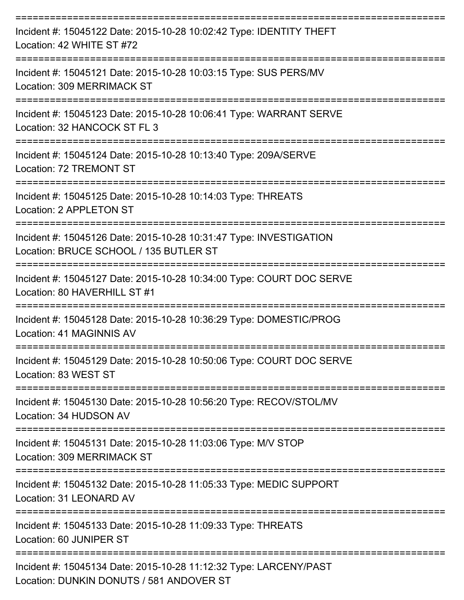| Incident #: 15045122 Date: 2015-10-28 10:02:42 Type: IDENTITY THEFT<br>Location: 42 WHITE ST #72                                          |
|-------------------------------------------------------------------------------------------------------------------------------------------|
| Incident #: 15045121 Date: 2015-10-28 10:03:15 Type: SUS PERS/MV<br>Location: 309 MERRIMACK ST                                            |
| Incident #: 15045123 Date: 2015-10-28 10:06:41 Type: WARRANT SERVE<br>Location: 32 HANCOCK ST FL 3<br>=================================== |
| Incident #: 15045124 Date: 2015-10-28 10:13:40 Type: 209A/SERVE<br>Location: 72 TREMONT ST                                                |
| Incident #: 15045125 Date: 2015-10-28 10:14:03 Type: THREATS<br>Location: 2 APPLETON ST                                                   |
| Incident #: 15045126 Date: 2015-10-28 10:31:47 Type: INVESTIGATION<br>Location: BRUCE SCHOOL / 135 BUTLER ST                              |
| Incident #: 15045127 Date: 2015-10-28 10:34:00 Type: COURT DOC SERVE<br>Location: 80 HAVERHILL ST #1                                      |
| Incident #: 15045128 Date: 2015-10-28 10:36:29 Type: DOMESTIC/PROG<br>Location: 41 MAGINNIS AV                                            |
| Incident #: 15045129 Date: 2015-10-28 10:50:06 Type: COURT DOC SERVE<br>Location: 83 WEST ST                                              |
| Incident #: 15045130 Date: 2015-10-28 10:56:20 Type: RECOV/STOL/MV<br>Location: 34 HUDSON AV                                              |
| Incident #: 15045131 Date: 2015-10-28 11:03:06 Type: M/V STOP<br>Location: 309 MERRIMACK ST                                               |
| Incident #: 15045132 Date: 2015-10-28 11:05:33 Type: MEDIC SUPPORT<br>Location: 31 LEONARD AV                                             |
| Incident #: 15045133 Date: 2015-10-28 11:09:33 Type: THREATS<br>Location: 60 JUNIPER ST                                                   |
| Incident #: 15045134 Date: 2015-10-28 11:12:32 Type: LARCENY/PAST<br>Location: DUNKIN DONUTS / 581 ANDOVER ST                             |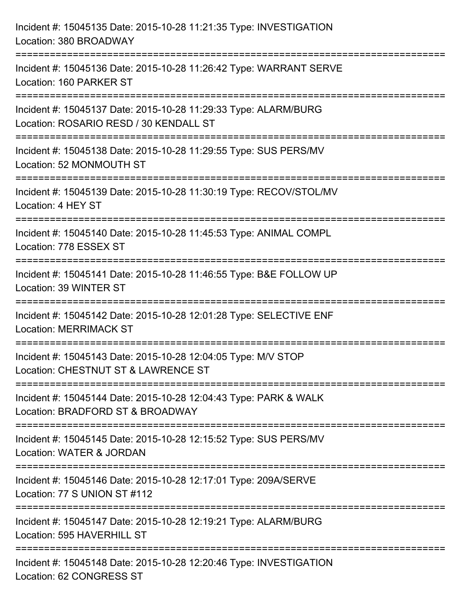| Incident #: 15045135 Date: 2015-10-28 11:21:35 Type: INVESTIGATION<br>Location: 380 BROADWAY                                          |
|---------------------------------------------------------------------------------------------------------------------------------------|
| ====================================<br>Incident #: 15045136 Date: 2015-10-28 11:26:42 Type: WARRANT SERVE<br>Location: 160 PARKER ST |
| Incident #: 15045137 Date: 2015-10-28 11:29:33 Type: ALARM/BURG<br>Location: ROSARIO RESD / 30 KENDALL ST<br>=======================  |
| Incident #: 15045138 Date: 2015-10-28 11:29:55 Type: SUS PERS/MV<br>Location: 52 MONMOUTH ST                                          |
| Incident #: 15045139 Date: 2015-10-28 11:30:19 Type: RECOV/STOL/MV<br>Location: 4 HEY ST                                              |
| Incident #: 15045140 Date: 2015-10-28 11:45:53 Type: ANIMAL COMPL<br>Location: 778 ESSEX ST                                           |
| Incident #: 15045141 Date: 2015-10-28 11:46:55 Type: B&E FOLLOW UP<br>Location: 39 WINTER ST                                          |
| Incident #: 15045142 Date: 2015-10-28 12:01:28 Type: SELECTIVE ENF<br><b>Location: MERRIMACK ST</b>                                   |
| Incident #: 15045143 Date: 2015-10-28 12:04:05 Type: M/V STOP<br>Location: CHESTNUT ST & LAWRENCE ST                                  |
| Incident #: 15045144 Date: 2015-10-28 12:04:43 Type: PARK & WALK<br>Location: BRADFORD ST & BROADWAY                                  |
| Incident #: 15045145 Date: 2015-10-28 12:15:52 Type: SUS PERS/MV<br>Location: WATER & JORDAN                                          |
| Incident #: 15045146 Date: 2015-10-28 12:17:01 Type: 209A/SERVE<br>Location: 77 S UNION ST #112                                       |
| Incident #: 15045147 Date: 2015-10-28 12:19:21 Type: ALARM/BURG<br>Location: 595 HAVERHILL ST                                         |
| Incident #: 15045148 Date: 2015-10-28 12:20:46 Type: INVESTIGATION<br>Location: 62 CONGRESS ST                                        |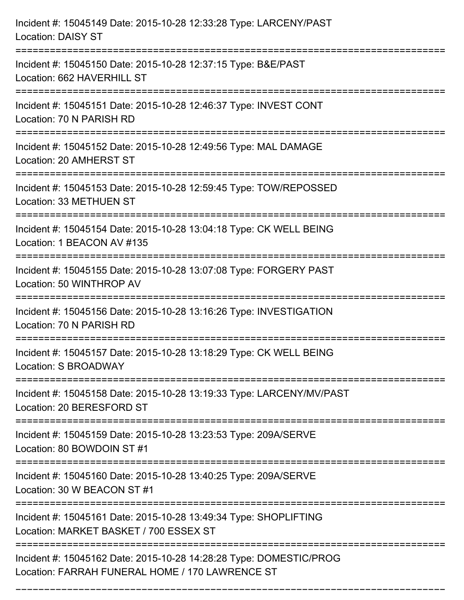| Incident #: 15045149 Date: 2015-10-28 12:33:28 Type: LARCENY/PAST<br><b>Location: DAISY ST</b>                                 |
|--------------------------------------------------------------------------------------------------------------------------------|
| :===========================<br>Incident #: 15045150 Date: 2015-10-28 12:37:15 Type: B&E/PAST<br>Location: 662 HAVERHILL ST    |
| Incident #: 15045151 Date: 2015-10-28 12:46:37 Type: INVEST CONT<br>Location: 70 N PARISH RD                                   |
| Incident #: 15045152 Date: 2015-10-28 12:49:56 Type: MAL DAMAGE<br>Location: 20 AMHERST ST                                     |
| Incident #: 15045153 Date: 2015-10-28 12:59:45 Type: TOW/REPOSSED<br>Location: 33 METHUEN ST<br>------------------------------ |
| Incident #: 15045154 Date: 2015-10-28 13:04:18 Type: CK WELL BEING<br>Location: 1 BEACON AV #135                               |
| Incident #: 15045155 Date: 2015-10-28 13:07:08 Type: FORGERY PAST<br>Location: 50 WINTHROP AV                                  |
| Incident #: 15045156 Date: 2015-10-28 13:16:26 Type: INVESTIGATION<br>Location: 70 N PARISH RD                                 |
| Incident #: 15045157 Date: 2015-10-28 13:18:29 Type: CK WELL BEING<br>Location: S BROADWAY                                     |
| Incident #: 15045158 Date: 2015-10-28 13:19:33 Type: LARCENY/MV/PAST<br>Location: 20 BERESFORD ST                              |
| Incident #: 15045159 Date: 2015-10-28 13:23:53 Type: 209A/SERVE<br>Location: 80 BOWDOIN ST #1                                  |
| Incident #: 15045160 Date: 2015-10-28 13:40:25 Type: 209A/SERVE<br>Location: 30 W BEACON ST #1                                 |
| Incident #: 15045161 Date: 2015-10-28 13:49:34 Type: SHOPLIFTING<br>Location: MARKET BASKET / 700 ESSEX ST                     |
| Incident #: 15045162 Date: 2015-10-28 14:28:28 Type: DOMESTIC/PROG<br>Location: FARRAH FUNERAL HOME / 170 LAWRENCE ST          |

===========================================================================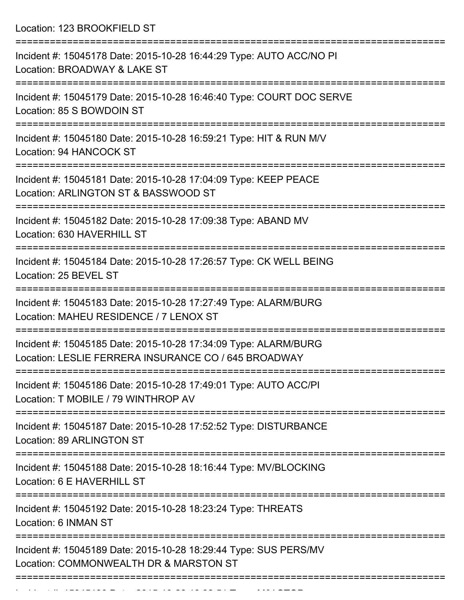Location: 123 BROOKFIELD ST

| Incident #: 15045178 Date: 2015-10-28 16:44:29 Type: AUTO ACC/NO PI<br>Location: BROADWAY & LAKE ST                     |
|-------------------------------------------------------------------------------------------------------------------------|
| Incident #: 15045179 Date: 2015-10-28 16:46:40 Type: COURT DOC SERVE<br>Location: 85 S BOWDOIN ST                       |
| Incident #: 15045180 Date: 2015-10-28 16:59:21 Type: HIT & RUN M/V<br>Location: 94 HANCOCK ST                           |
| Incident #: 15045181 Date: 2015-10-28 17:04:09 Type: KEEP PEACE<br>Location: ARLINGTON ST & BASSWOOD ST                 |
| Incident #: 15045182 Date: 2015-10-28 17:09:38 Type: ABAND MV<br>Location: 630 HAVERHILL ST                             |
| Incident #: 15045184 Date: 2015-10-28 17:26:57 Type: CK WELL BEING<br>Location: 25 BEVEL ST                             |
| Incident #: 15045183 Date: 2015-10-28 17:27:49 Type: ALARM/BURG<br>Location: MAHEU RESIDENCE / 7 LENOX ST               |
| Incident #: 15045185 Date: 2015-10-28 17:34:09 Type: ALARM/BURG<br>Location: LESLIE FERRERA INSURANCE CO / 645 BROADWAY |
| Incident #: 15045186 Date: 2015-10-28 17:49:01 Type: AUTO ACC/PI<br>Location: T MOBILE / 79 WINTHROP AV                 |
| Incident #: 15045187 Date: 2015-10-28 17:52:52 Type: DISTURBANCE<br>Location: 89 ARLINGTON ST                           |
| Incident #: 15045188 Date: 2015-10-28 18:16:44 Type: MV/BLOCKING<br>Location: 6 E HAVERHILL ST                          |
| Incident #: 15045192 Date: 2015-10-28 18:23:24 Type: THREATS<br>Location: 6 INMAN ST                                    |
| Incident #: 15045189 Date: 2015-10-28 18:29:44 Type: SUS PERS/MV<br>Location: COMMONWEALTH DR & MARSTON ST              |
|                                                                                                                         |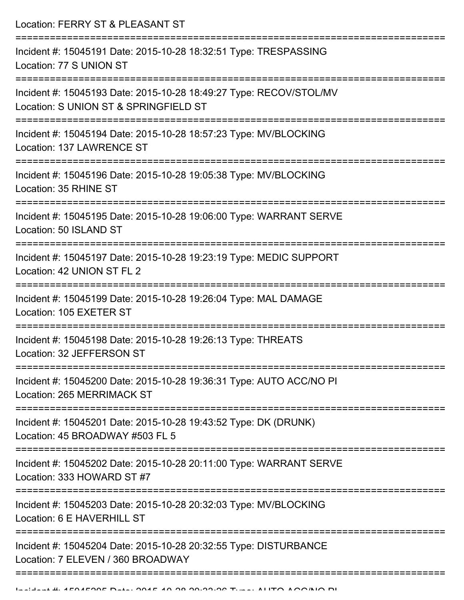Location: FERRY ST & PLEASANT ST =========================================================================== Incident #: 15045191 Date: 2015-10-28 18:32:51 Type: TRESPASSING Location: 77 S UNION ST =========================================================================== Incident #: 15045193 Date: 2015-10-28 18:49:27 Type: RECOV/STOL/MV Location: S UNION ST & SPRINGFIELD ST =========================================================================== Incident #: 15045194 Date: 2015-10-28 18:57:23 Type: MV/BLOCKING Location: 137 LAWRENCE ST =========================================================================== Incident #: 15045196 Date: 2015-10-28 19:05:38 Type: MV/BLOCKING Location: 35 RHINE ST =========================================================================== Incident #: 15045195 Date: 2015-10-28 19:06:00 Type: WARRANT SERVE Location: 50 ISLAND ST =========================================================================== Incident #: 15045197 Date: 2015-10-28 19:23:19 Type: MEDIC SUPPORT Location: 42 UNION ST FL 2 =========================================================================== Incident #: 15045199 Date: 2015-10-28 19:26:04 Type: MAL DAMAGE Location: 105 EXETER ST =========================================================================== Incident #: 15045198 Date: 2015-10-28 19:26:13 Type: THREATS Location: 32 JEFFERSON ST =========================================================================== Incident #: 15045200 Date: 2015-10-28 19:36:31 Type: AUTO ACC/NO PI Location: 265 MERRIMACK ST =========================================================================== Incident #: 15045201 Date: 2015-10-28 19:43:52 Type: DK (DRUNK) Location: 45 BROADWAY #503 FL 5 =========================================================================== Incident #: 15045202 Date: 2015-10-28 20:11:00 Type: WARRANT SERVE Location: 333 HOWARD ST #7 =========================================================================== Incident #: 15045203 Date: 2015-10-28 20:32:03 Type: MV/BLOCKING Location: 6 F HAVERHILL ST =========================================================================== Incident #: 15045204 Date: 2015-10-28 20:32:55 Type: DISTURBANCE Location: 7 ELEVEN / 360 BROADWAY

===========================================================================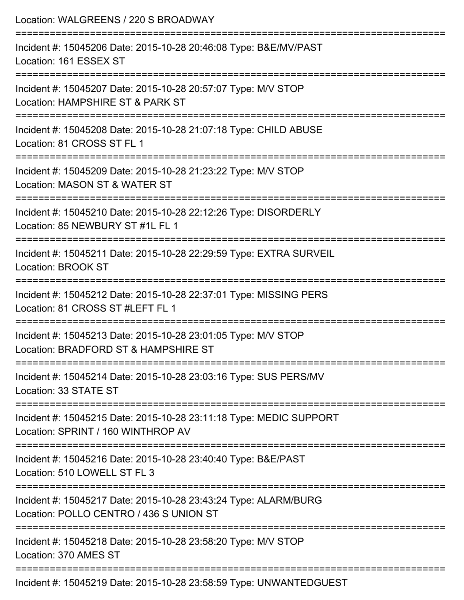| Location: WALGREENS / 220 S BROADWAY                                                                                          |
|-------------------------------------------------------------------------------------------------------------------------------|
| Incident #: 15045206 Date: 2015-10-28 20:46:08 Type: B&E/MV/PAST<br>Location: 161 ESSEX ST                                    |
| Incident #: 15045207 Date: 2015-10-28 20:57:07 Type: M/V STOP<br>Location: HAMPSHIRE ST & PARK ST                             |
| Incident #: 15045208 Date: 2015-10-28 21:07:18 Type: CHILD ABUSE<br>Location: 81 CROSS ST FL 1                                |
| Incident #: 15045209 Date: 2015-10-28 21:23:22 Type: M/V STOP<br>Location: MASON ST & WATER ST                                |
| Incident #: 15045210 Date: 2015-10-28 22:12:26 Type: DISORDERLY<br>Location: 85 NEWBURY ST #1L FL 1                           |
| Incident #: 15045211 Date: 2015-10-28 22:29:59 Type: EXTRA SURVEIL<br>Location: BROOK ST                                      |
| Incident #: 15045212 Date: 2015-10-28 22:37:01 Type: MISSING PERS<br>Location: 81 CROSS ST #LEFT FL 1                         |
| Incident #: 15045213 Date: 2015-10-28 23:01:05 Type: M/V STOP<br>Location: BRADFORD ST & HAMPSHIRE ST                         |
| ================================<br>Incident #: 15045214 Date: 2015-10-28 23:03:16 Type: SUS PERS/MV<br>Location: 33 STATE ST |
| Incident #: 15045215 Date: 2015-10-28 23:11:18 Type: MEDIC SUPPORT<br>Location: SPRINT / 160 WINTHROP AV                      |
| Incident #: 15045216 Date: 2015-10-28 23:40:40 Type: B&E/PAST<br>Location: 510 LOWELL ST FL 3                                 |
| Incident #: 15045217 Date: 2015-10-28 23:43:24 Type: ALARM/BURG<br>Location: POLLO CENTRO / 436 S UNION ST                    |
| Incident #: 15045218 Date: 2015-10-28 23:58:20 Type: M/V STOP<br>Location: 370 AMES ST                                        |
| Incident #: 15045219 Date: 2015-10-28 23:58:59 Type: UNWANTEDGUEST                                                            |